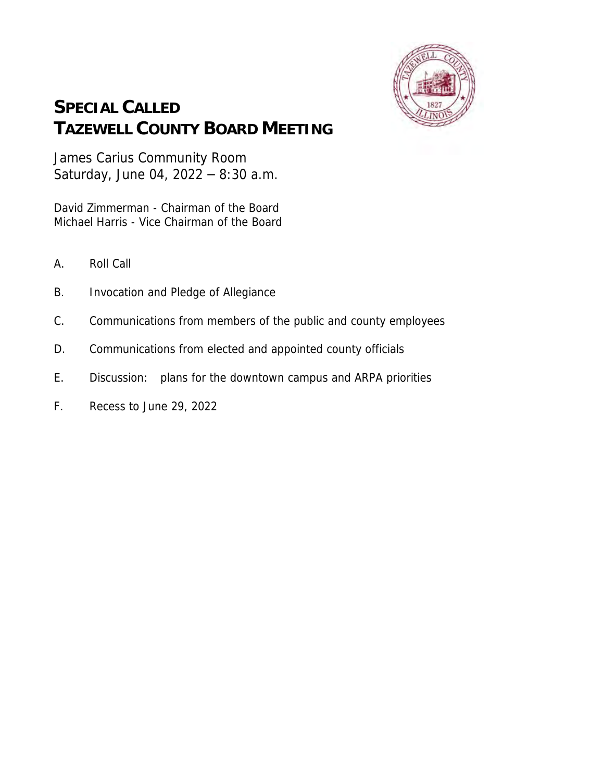

## **SPECIAL CALLED TAZEWELL COUNTY BOARD MEETING**

James Carius Community Room Saturday, June 04, 2022 – 8:30 a.m.

David Zimmerman - Chairman of the Board Michael Harris - Vice Chairman of the Board

- A. Roll Call
- B. Invocation and Pledge of Allegiance
- C. Communications from members of the public and county employees
- D. Communications from elected and appointed county officials
- E. Discussion: plans for the downtown campus and ARPA priorities
- F. Recess to June 29, 2022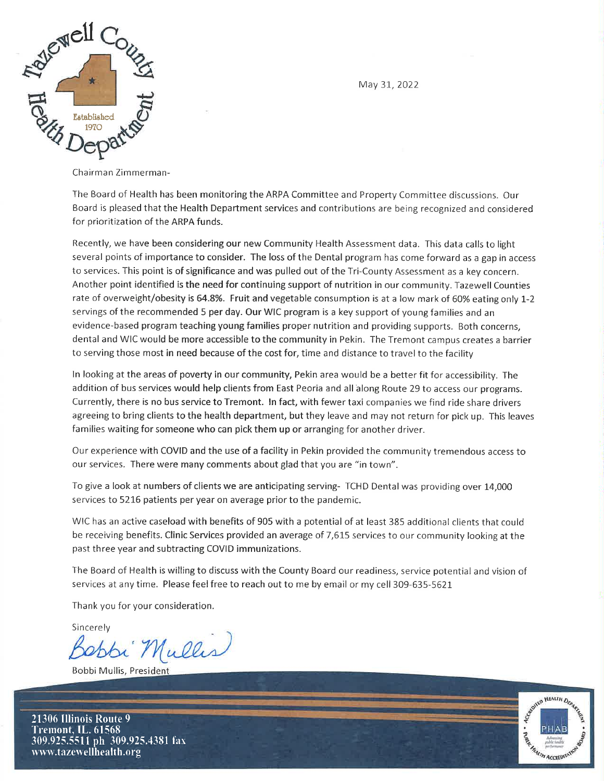

May 31, 2022

Chairman Zimmerman-

The Board of Health has been monitoring the ARPA Committee and Property Committee discussions. Our Board is pleased that the Health Department services and contributions are being recognized and considered for prioritization of the ARPA funds.

Recently, we have been considering our new Community Health Assessment data. This data calls to light several points of importance to consider. The loss of the Dental program has come forward as a gap in access to services. This point is of significance and was pulled out of the Tri-County Assessment as a key concern. Another point identified is the need for continuing support of nutrition in our community. Tazewell Counties rate of overweight/obesity is 64.8%. Fruit and vegetable consumption is at a low mark of 60% eating only 1-2 servings of the recommended 5 per day. Our WIC program is a key support of young families and an evidence-based program teaching young families proper nutrition and providing supports. Both concerns, dental and WIC would be more accessible to the community in Pekin. The Tremont campus creates a barrier to serving those most in need because of the cost for, time and distance to travel to the facility

In looking at the areas of poverty in our community, Pekin area would be a better fit for accessibility. The addition of bus services would help clients from East Peoria and all along Route 29 to access our programs. Currently, there is no bus service to Tremont. In fact, with fewer taxi companies we find ride share drivers agreeing to bring clients to the health department, but they leave and may not return for pick up. This leaves families waiting for someone who can pick them up or arranging for another driver.

Our experience with COVID and the use of a facility in Pekin provided the community tremendous access to our services. There were many comments about glad that you are "in town".

To give a look at numbers of clients we are anticipating serving- TCHD Dental was providing over 14,000 services to 5216 patients per year on average prior to the pandemic.

WIC has an active caseload with benefits of 905 with a potential of at least 385 additional clients that could be receiving benefits. Clinic Services provided an average of 7,615 services to our community looking at the past three year and subtracting COVID immunizations.

The Board of Health is willing to discuss with the County Board our readiness, service potential and vision of services at any time. Please feel free to reach out to me by email or my cell 309-635-5621

Thank you for your consideration.

Sincerely

bi Mullis



HEALTH DEA **MEALTH ACCREDI** 

21306 Illinois Route 9 Tremont, IL. 61568 309.925.5511 ph 309.925.4381 fax www.tazewellhealth.org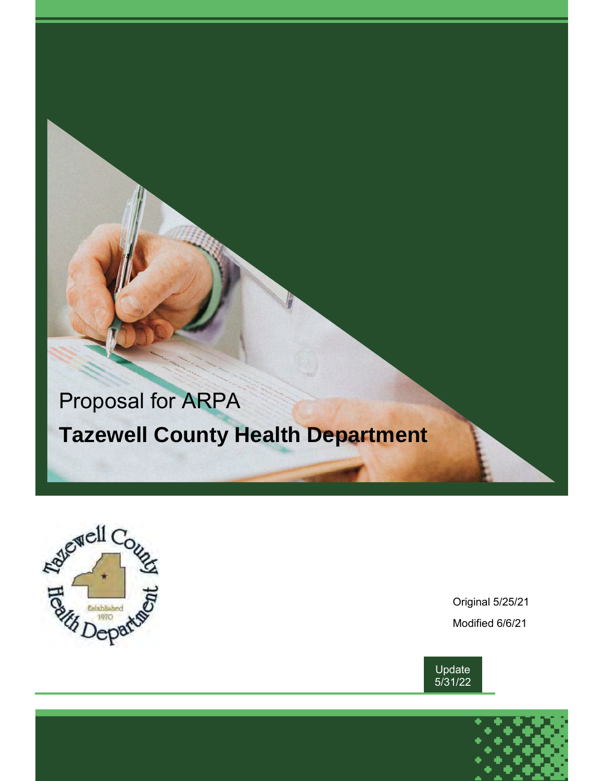# Proposal for ARPA  **Tazewell County Health Department**



Original 5/25/21 Modified 6/6/21



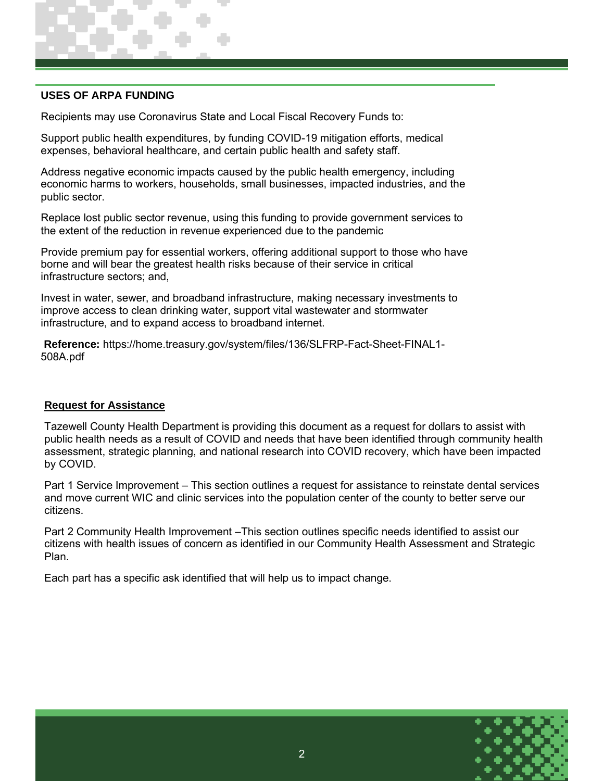#### **USES OF ARPA FUNDING**

Recipients may use Coronavirus State and Local Fiscal Recovery Funds to:

Support public health expenditures, by funding COVID-19 mitigation efforts, medical expenses, behavioral healthcare, and certain public health and safety staff.

Address negative economic impacts caused by the public health emergency, including economic harms to workers, households, small businesses, impacted industries, and the public sector.

Replace lost public sector revenue, using this funding to provide government services to the extent of the reduction in revenue experienced due to the pandemic

Provide premium pay for essential workers, offering additional support to those who have borne and will bear the greatest health risks because of their service in critical infrastructure sectors; and,

Invest in water, sewer, and broadband infrastructure, making necessary investments to improve access to clean drinking water, support vital wastewater and stormwater infrastructure, and to expand access to broadband internet.

**Reference:** https://home.treasury.gov/system/files/136/SLFRP-Fact-Sheet-FINAL1- 508A.pdf

#### **Request for Assistance**

Tazewell County Health Department is providing this document as a request for dollars to assist with public health needs as a result of COVID and needs that have been identified through community health assessment, strategic planning, and national research into COVID recovery, which have been impacted by COVID.

Part 1 Service Improvement – This section outlines a request for assistance to reinstate dental services and move current WIC and clinic services into the population center of the county to better serve our citizens.

Part 2 Community Health Improvement –This section outlines specific needs identified to assist our citizens with health issues of concern as identified in our Community Health Assessment and Strategic Plan.

Each part has a specific ask identified that will help us to impact change.

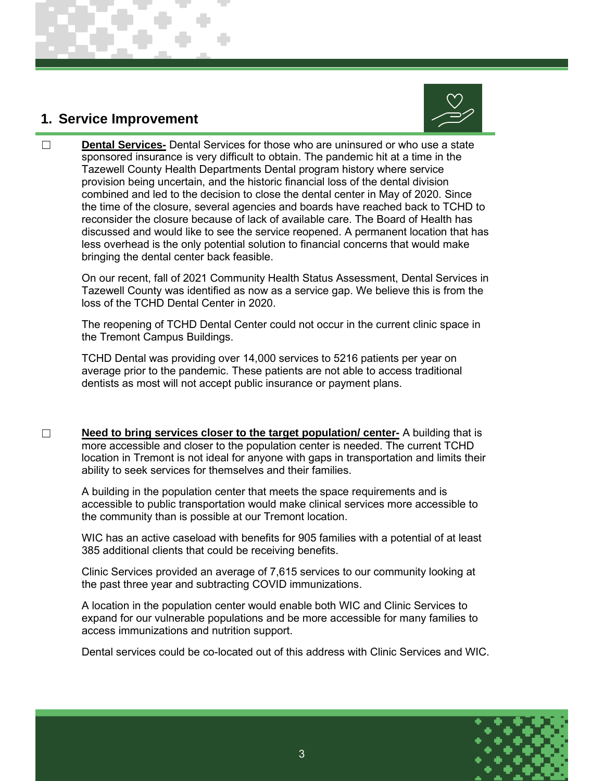### **1. Service Improvement**



☐ **Dental Services-** Dental Services for those who are uninsured or who use a state sponsored insurance is very difficult to obtain. The pandemic hit at a time in the Tazewell County Health Departments Dental program history where service provision being uncertain, and the historic financial loss of the dental division combined and led to the decision to close the dental center in May of 2020. Since the time of the closure, several agencies and boards have reached back to TCHD to reconsider the closure because of lack of available care. The Board of Health has discussed and would like to see the service reopened. A permanent location that has less overhead is the only potential solution to financial concerns that would make bringing the dental center back feasible.

On our recent, fall of 2021 Community Health Status Assessment, Dental Services in Tazewell County was identified as now as a service gap. We believe this is from the loss of the TCHD Dental Center in 2020.

The reopening of TCHD Dental Center could not occur in the current clinic space in the Tremont Campus Buildings.

TCHD Dental was providing over 14,000 services to 5216 patients per year on average prior to the pandemic. These patients are not able to access traditional dentists as most will not accept public insurance or payment plans.

□ Need to bring services closer to the target population/ center- A building that is more accessible and closer to the population center is needed. The current TCHD location in Tremont is not ideal for anyone with gaps in transportation and limits their ability to seek services for themselves and their families.

A building in the population center that meets the space requirements and is accessible to public transportation would make clinical services more accessible to the community than is possible at our Tremont location.

WIC has an active caseload with benefits for 905 families with a potential of at least 385 additional clients that could be receiving benefits.

Clinic Services provided an average of 7,615 services to our community looking at the past three year and subtracting COVID immunizations.

A location in the population center would enable both WIC and Clinic Services to expand for our vulnerable populations and be more accessible for many families to access immunizations and nutrition support.

Dental services could be co-located out of this address with Clinic Services and WIC.

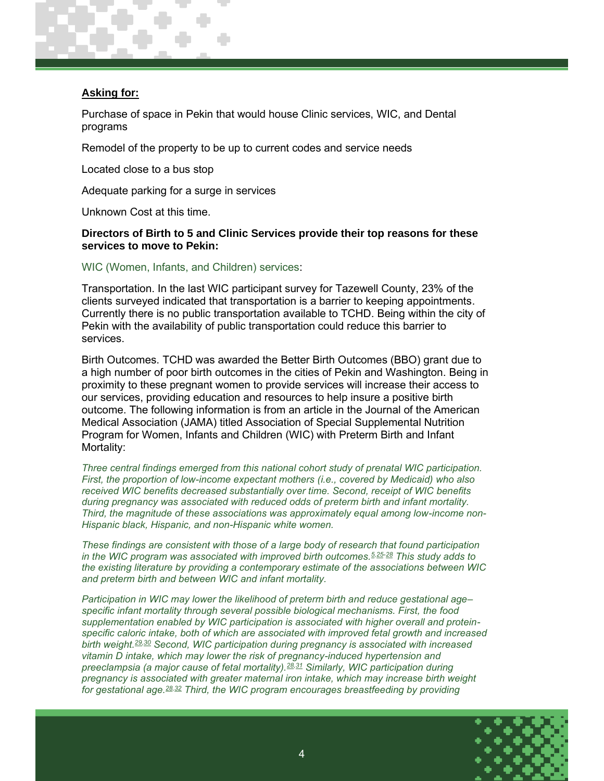#### **Asking for:**

Purchase of space in Pekin that would house Clinic services, WIC, and Dental programs

Remodel of the property to be up to current codes and service needs

Located close to a bus stop

Adequate parking for a surge in services

Unknown Cost at this time.

#### **Directors of Birth to 5 and Clinic Services provide their top reasons for these services to move to Pekin:**

WIC (Women, Infants, and Children) services:

Transportation. In the last WIC participant survey for Tazewell County, 23% of the clients surveyed indicated that transportation is a barrier to keeping appointments. Currently there is no public transportation available to TCHD. Being within the city of Pekin with the availability of public transportation could reduce this barrier to services.

Birth Outcomes. TCHD was awarded the Better Birth Outcomes (BBO) grant due to a high number of poor birth outcomes in the cities of Pekin and Washington. Being in proximity to these pregnant women to provide services will increase their access to our services, providing education and resources to help insure a positive birth outcome. The following information is from an article in the Journal of the American Medical Association (JAMA) titled Association of Special Supplemental Nutrition Program for Women, Infants and Children (WIC) with Preterm Birth and Infant Mortality:

*Three central findings emerged from this national cohort study of prenatal WIC participation. First, the proportion of low-income expectant mothers (i.e., covered by Medicaid) who also received WIC benefits decreased substantially over time. Second, receipt of WIC benefits during pregnancy was associated with reduced odds of preterm birth and infant mortality. Third, the magnitude of these associations was approximately equal among low-income non-Hispanic black, Hispanic, and non-Hispanic white women.*

*These findings are consistent with those of a large body of research that found participation in the WIC program was associated with improved birth outcomes.[5,](https://jamanetwork.com/journals/jamanetworkopen/fullarticle/2756257#zoi190633r5)[25-28](https://jamanetwork.com/journals/jamanetworkopen/fullarticle/2756257#zoi190633r25) This study adds to the existing literature by providing a contemporary estimate of the associations between WIC and preterm birth and between WIC and infant mortality.*

*Participation in WIC may lower the likelihood of preterm birth and reduce gestational age– specific infant mortality through several possible biological mechanisms. First, the food supplementation enabled by WIC participation is associated with higher overall and proteinspecific caloric intake, both of which are associated with improved fetal growth and increased birth weight.[29,](https://jamanetwork.com/journals/jamanetworkopen/fullarticle/2756257#zoi190633r29)[30](https://jamanetwork.com/journals/jamanetworkopen/fullarticle/2756257#zoi190633r30) Second, WIC participation during pregnancy is associated with increased vitamin D intake, which may lower the risk of pregnancy-induced hypertension and preeclampsia (a major cause of fetal mortality).[28,](https://jamanetwork.com/journals/jamanetworkopen/fullarticle/2756257#zoi190633r28)[31](https://jamanetwork.com/journals/jamanetworkopen/fullarticle/2756257#zoi190633r31) Similarly, WIC participation during pregnancy is associated with greater maternal iron intake, which may increase birth weight for gestational age.[28,](https://jamanetwork.com/journals/jamanetworkopen/fullarticle/2756257#zoi190633r28)[32](https://jamanetwork.com/journals/jamanetworkopen/fullarticle/2756257#zoi190633r32) Third, the WIC program encourages breastfeeding by providing* 

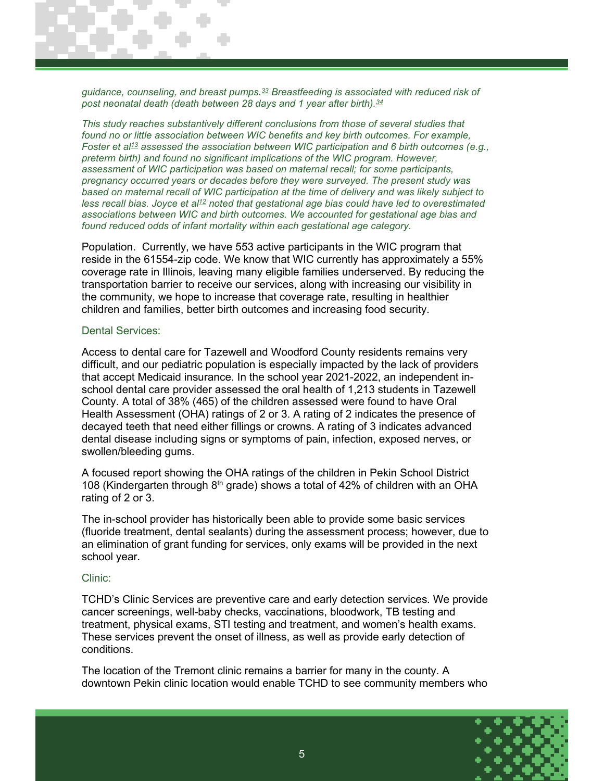*guidance, counseling, and breast pumps.[33](https://jamanetwork.com/journals/jamanetworkopen/fullarticle/2756257#zoi190633r33) Breastfeeding is associated with reduced risk of post neonatal death (death between 28 days and 1 year after birth).[34](https://jamanetwork.com/journals/jamanetworkopen/fullarticle/2756257#zoi190633r34)*

*This study reaches substantively different conclusions from those of several studies that*  found no or little association between WIC benefits and key birth outcomes. For example, *Foster et al[13](https://jamanetwork.com/journals/jamanetworkopen/fullarticle/2756257#zoi190633r13) assessed the association between WIC participation and 6 birth outcomes (e.g., preterm birth) and found no significant implications of the WIC program. However, assessment of WIC participation was based on maternal recall; for some participants, pregnancy occurred years or decades before they were surveyed. The present study was based on maternal recall of WIC participation at the time of delivery and was likely subject to less recall bias. Joyce et al[12](https://jamanetwork.com/journals/jamanetworkopen/fullarticle/2756257#zoi190633r12) noted that gestational age bias could have led to overestimated associations between WIC and birth outcomes. We accounted for gestational age bias and found reduced odds of infant mortality within each gestational age category.*

Population. Currently, we have 553 active participants in the WIC program that reside in the 61554-zip code. We know that WIC currently has approximately a 55% coverage rate in Illinois, leaving many eligible families underserved. By reducing the transportation barrier to receive our services, along with increasing our visibility in the community, we hope to increase that coverage rate, resulting in healthier children and families, better birth outcomes and increasing food security.

#### Dental Services:

Access to dental care for Tazewell and Woodford County residents remains very difficult, and our pediatric population is especially impacted by the lack of providers that accept Medicaid insurance. In the school year 2021-2022, an independent inschool dental care provider assessed the oral health of 1,213 students in Tazewell County. A total of 38% (465) of the children assessed were found to have Oral Health Assessment (OHA) ratings of 2 or 3. A rating of 2 indicates the presence of decayed teeth that need either fillings or crowns. A rating of 3 indicates advanced dental disease including signs or symptoms of pain, infection, exposed nerves, or swollen/bleeding gums.

A focused report showing the OHA ratings of the children in Pekin School District 108 (Kindergarten through  $8<sup>th</sup>$  grade) shows a total of 42% of children with an OHA rating of 2 or 3.

The in-school provider has historically been able to provide some basic services (fluoride treatment, dental sealants) during the assessment process; however, due to an elimination of grant funding for services, only exams will be provided in the next school year.

#### Clinic:

TCHD's Clinic Services are preventive care and early detection services. We provide cancer screenings, well-baby checks, vaccinations, bloodwork, TB testing and treatment, physical exams, STI testing and treatment, and women's health exams. These services prevent the onset of illness, as well as provide early detection of conditions.

The location of the Tremont clinic remains a barrier for many in the county. A downtown Pekin clinic location would enable TCHD to see community members who

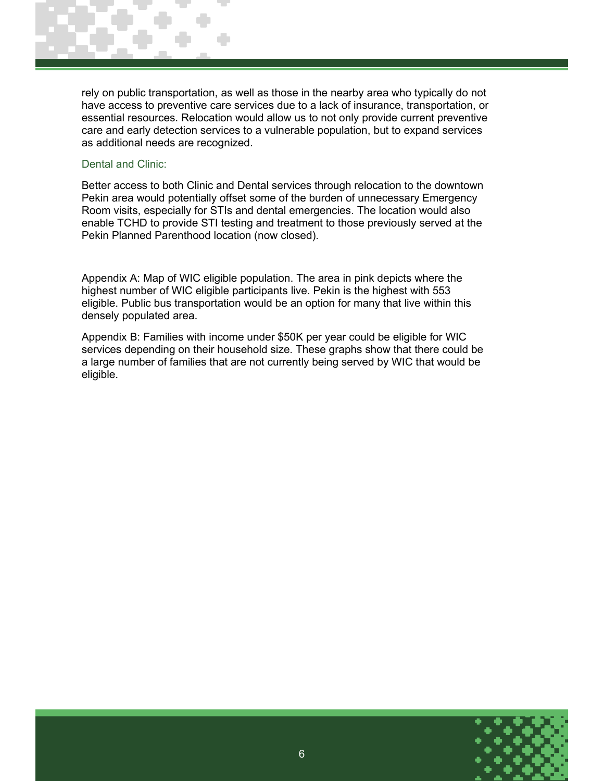rely on public transportation, as well as those in the nearby area who typically do not have access to preventive care services due to a lack of insurance, transportation, or essential resources. Relocation would allow us to not only provide current preventive care and early detection services to a vulnerable population, but to expand services as additional needs are recognized.

#### Dental and Clinic:

Better access to both Clinic and Dental services through relocation to the downtown Pekin area would potentially offset some of the burden of unnecessary Emergency Room visits, especially for STIs and dental emergencies. The location would also enable TCHD to provide STI testing and treatment to those previously served at the Pekin Planned Parenthood location (now closed).

Appendix A: Map of WIC eligible population. The area in pink depicts where the highest number of WIC eligible participants live. Pekin is the highest with 553 eligible. Public bus transportation would be an option for many that live within this densely populated area.

Appendix B: Families with income under \$50K per year could be eligible for WIC services depending on their household size. These graphs show that there could be a large number of families that are not currently being served by WIC that would be eligible.

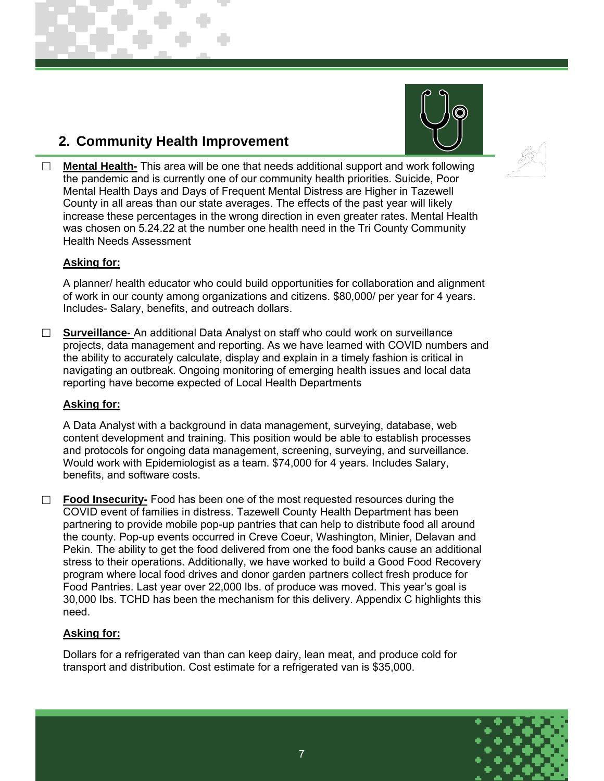## **2. Community Health Improvement**





☐ **Mental Health-** This area will be one that needs additional support and work following the pandemic and is currently one of our community health priorities. Suicide, Poor Mental Health Days and Days of Frequent Mental Distress are Higher in Tazewell County in all areas than our state averages. The effects of the past year will likely increase these percentages in the wrong direction in even greater rates. Mental Health was chosen on 5.24.22 at the number one health need in the Tri County Community Health Needs Assessment

#### **Asking for:**

A planner/ health educator who could build opportunities for collaboration and alignment of work in our county among organizations and citizens. \$80,000/ per year for 4 years. Includes- Salary, benefits, and outreach dollars.

☐ **Surveillance-** An additional Data Analyst on staff who could work on surveillance projects, data management and reporting. As we have learned with COVID numbers and the ability to accurately calculate, display and explain in a timely fashion is critical in navigating an outbreak. Ongoing monitoring of emerging health issues and local data reporting have become expected of Local Health Departments

#### **Asking for:**

A Data Analyst with a background in data management, surveying, database, web content development and training. This position would be able to establish processes and protocols for ongoing data management, screening, surveying, and surveillance. Would work with Epidemiologist as a team. \$74,000 for 4 years. Includes Salary, benefits, and software costs.

□ **Food Insecurity-** Food has been one of the most requested resources during the COVID event of families in distress. Tazewell County Health Department has been partnering to provide mobile pop-up pantries that can help to distribute food all around the county. Pop-up events occurred in Creve Coeur, Washington, Minier, Delavan and Pekin. The ability to get the food delivered from one the food banks cause an additional stress to their operations. Additionally, we have worked to build a Good Food Recovery program where local food drives and donor garden partners collect fresh produce for Food Pantries. Last year over 22,000 lbs. of produce was moved. This year's goal is 30,000 Ibs. TCHD has been the mechanism for this delivery. Appendix C highlights this need.

#### **Asking for:**

Dollars for a refrigerated van than can keep dairy, lean meat, and produce cold for transport and distribution. Cost estimate for a refrigerated van is \$35,000.

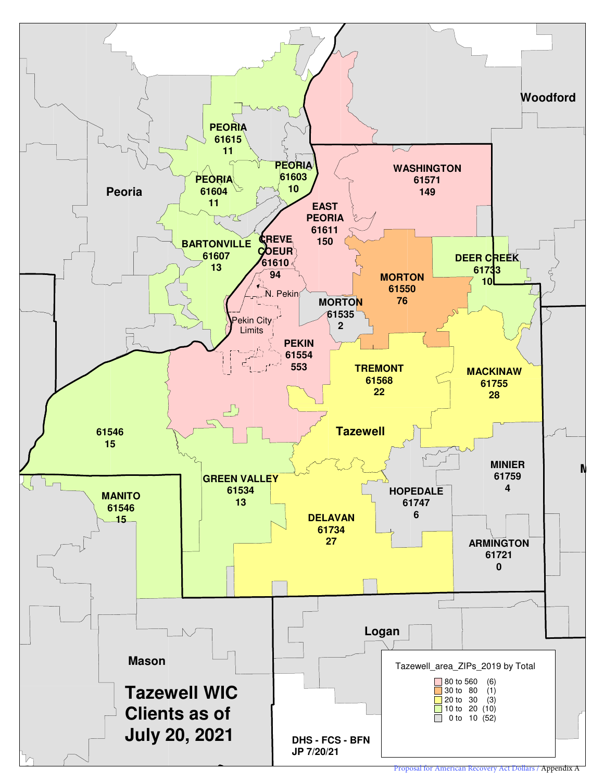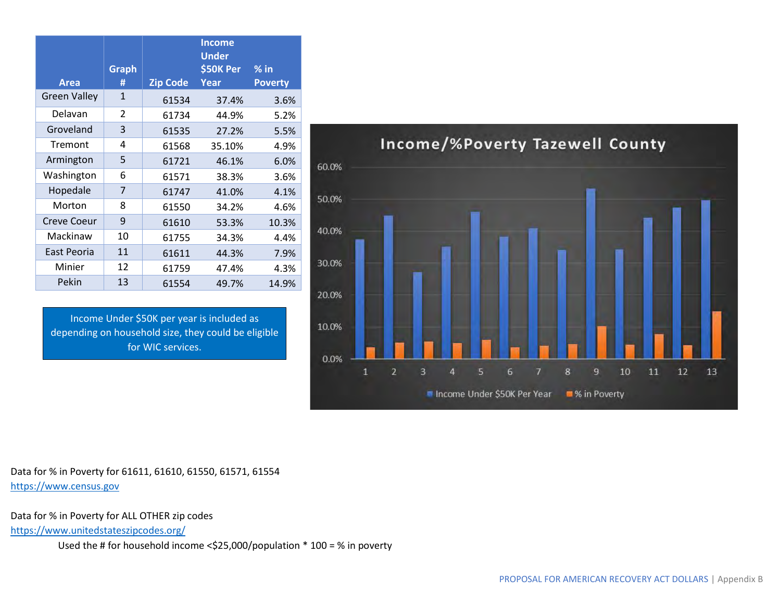| <b>Area</b>         | <b>Graph</b><br># | <b>Zip Code</b> | <b>Income</b><br><b>Under</b><br>\$50K Per<br>Year | $%$ in<br><b>Poverty</b> |
|---------------------|-------------------|-----------------|----------------------------------------------------|--------------------------|
| <b>Green Valley</b> | $\mathbf{1}$      | 61534           | 37.4%                                              | 3.6%                     |
| Delavan             | $\overline{2}$    | 61734           | 44.9%                                              | 5.2%                     |
| Groveland           | 3                 | 61535           | 27.2%                                              | 5.5%                     |
| Tremont             | 4                 | 61568           | 35.10%                                             | 4.9%                     |
| Armington           | 5                 | 61721           | 46.1%                                              | 6.0%                     |
| Washington          | 6                 | 61571           | 38.3%                                              | 3.6%                     |
| Hopedale            | 7                 | 61747           | 41.0%                                              | 4.1%                     |
| Morton              | 8                 | 61550           | 34.2%                                              | 4.6%                     |
| <b>Creve Coeur</b>  | 9                 | 61610           | 53.3%                                              | 10.3%                    |
| Mackinaw            | 10                | 61755           | 34.3%                                              | 4.4%                     |
| East Peoria         | 11                | 61611           | 44.3%                                              | 7.9%                     |
| Minier              | 12                | 61759           | 47.4%                                              | 4.3%                     |
| Pekin               | 13                | 61554           | 49.7%                                              | 14.9%                    |

Income Under \$50K per year is included as depending on household size, they could be eligible for WIC services.



Data for % in Poverty for 61611, 61610, 61550, 61571, 61554 https://www.census.gov

Data for % in Poverty for ALL OTHER zip codes

<https://www.unitedstateszipcodes.org/>

Used the # for household income <\$25,000/population \* 100 = % in poverty